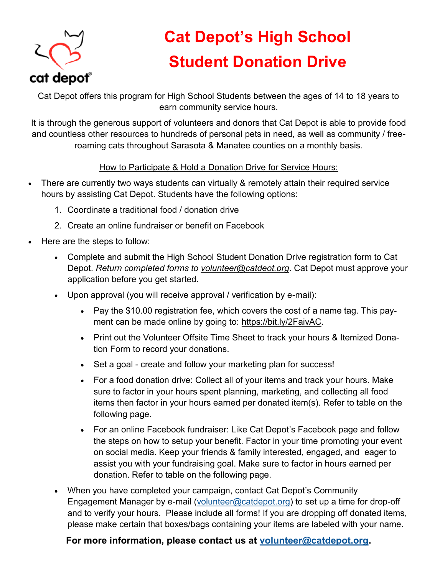

## **Cat Depot's High School Student Donation Drive**

Cat Depot offers this program for High School Students between the ages of 14 to 18 years to earn community service hours.

It is through the generous support of volunteers and donors that Cat Depot is able to provide food and countless other resources to hundreds of personal pets in need, as well as community / freeroaming cats throughout Sarasota & Manatee counties on a monthly basis.

## How to Participate & Hold a Donation Drive for Service Hours:

- There are currently two ways students can virtually & remotely attain their required service hours by assisting Cat Depot. Students have the following options:
	- 1. Coordinate a traditional food / donation drive
	- 2. Create an online fundraiser or benefit on Facebook
- Here are the steps to follow:
	- Complete and submit the High School Student Donation Drive registration form to Cat Depot. *Return completed forms to volunteer@catdeot.org*. Cat Depot must approve your application before you get started.
	- Upon approval (you will receive approval / verification by e-mail):
		- Pay the \$10.00 registration fee, which covers the cost of a name tag. This payment can be made online by going to: https://bit.ly/2FaivAC.
		- Print out the Volunteer Offsite Time Sheet to track your hours & Itemized Donation Form to record your donations.
		- Set a goal create and follow your marketing plan for success!
		- For a food donation drive: Collect all of your items and track your hours. Make sure to factor in your hours spent planning, marketing, and collecting all food items then factor in your hours earned per donated item(s). Refer to table on the following page.
		- For an online Facebook fundraiser: Like Cat Depot's Facebook page and follow the steps on how to setup your benefit. Factor in your time promoting your event on social media. Keep your friends & family interested, engaged, and eager to assist you with your fundraising goal. Make sure to factor in hours earned per donation. Refer to table on the following page.
	- When you have completed your campaign, contact Cat Depot's Community Engagement Manager by e-mail ([volunteer@catdepot.org\)](mailto:volunteer@catdepot.org) to set up a time for drop-off and to verify your hours. Please include all forms! If you are dropping off donated items, please make certain that boxes/bags containing your items are labeled with your name.

## **For more information, please contact us at [volunteer@catdepot.org.](mailto:volunteer@catdepot.org)**